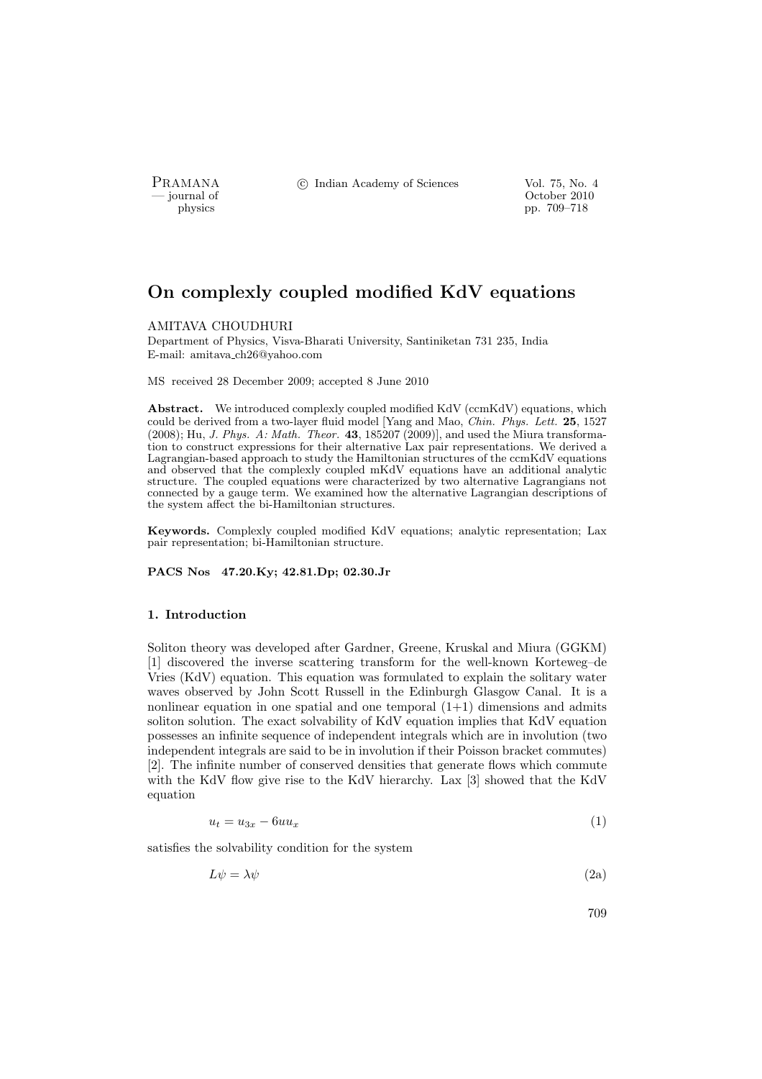PRAMANA <sup>C</sup> Indian Academy of Sciences Vol. 75, No. 4<br>
— journal of Cortober 2010

position of the contract of the contract of the contract of the contract of the contract of the contract of the contract of the contract of the contract of the contract of the contract of the contract of the contract of th pp. 709–718

# On complexly coupled modified KdV equations

### AMITAVA CHOUDHURI

Department of Physics, Visva-Bharati University, Santiniketan 731 235, India E-mail: amitava ch26@yahoo.com

MS received 28 December 2009; accepted 8 June 2010

Abstract. We introduced complexly coupled modified KdV (ccmKdV) equations, which could be derived from a two-layer fluid model [Yang and Mao, Chin. Phys. Lett. 25, 1527  $(2008)$ ; Hu, J. Phys. A: Math. Theor. 43, 185207 (2009)], and used the Miura transformation to construct expressions for their alternative Lax pair representations. We derived a Lagrangian-based approach to study the Hamiltonian structures of the ccmKdV equations and observed that the complexly coupled mKdV equations have an additional analytic structure. The coupled equations were characterized by two alternative Lagrangians not connected by a gauge term. We examined how the alternative Lagrangian descriptions of the system affect the bi-Hamiltonian structures.

Keywords. Complexly coupled modified KdV equations; analytic representation; Lax pair representation; bi-Hamiltonian structure.

# PACS Nos 47.20.Ky; 42.81.Dp; 02.30.Jr

### 1. Introduction

Soliton theory was developed after Gardner, Greene, Kruskal and Miura (GGKM) [1] discovered the inverse scattering transform for the well-known Korteweg–de Vries (KdV) equation. This equation was formulated to explain the solitary water waves observed by John Scott Russell in the Edinburgh Glasgow Canal. It is a nonlinear equation in one spatial and one temporal  $(1+1)$  dimensions and admits soliton solution. The exact solvability of KdV equation implies that KdV equation possesses an infinite sequence of independent integrals which are in involution (two independent integrals are said to be in involution if their Poisson bracket commutes) [2]. The infinite number of conserved densities that generate flows which commute with the KdV flow give rise to the KdV hierarchy. Lax [3] showed that the KdV equation

$$
u_t = u_{3x} - 6uu_x \tag{1}
$$

satisfies the solvability condition for the system

$$
L\psi = \lambda\psi \tag{2a}
$$

709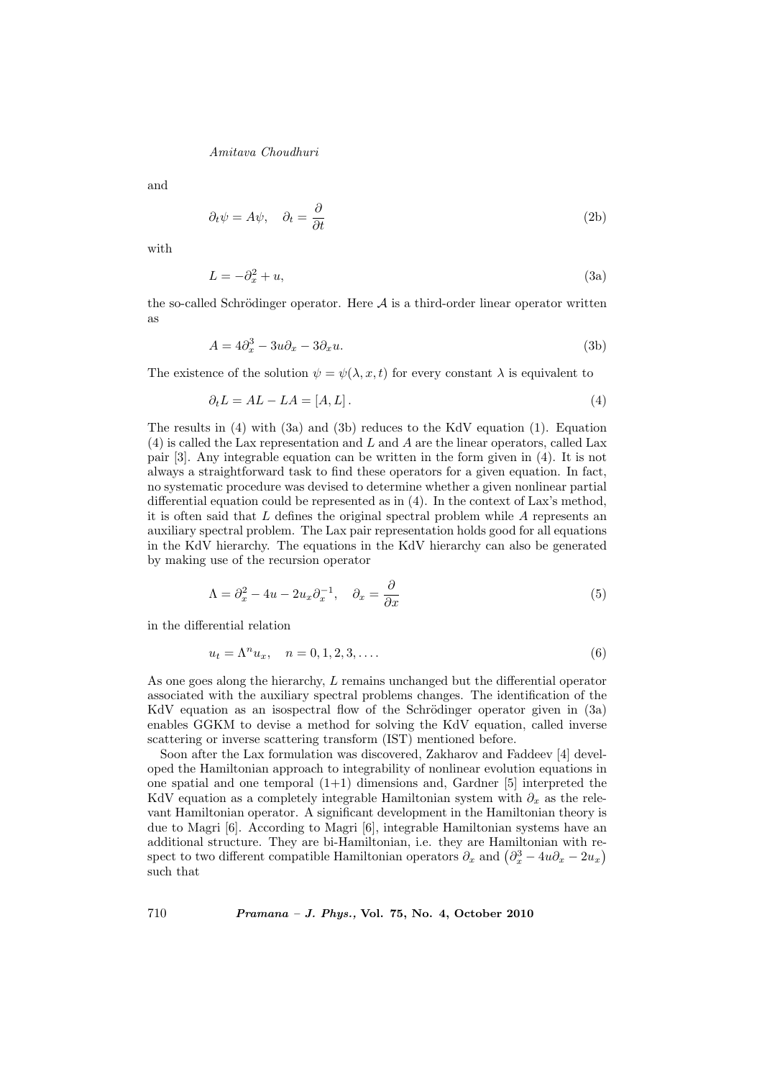and

$$
\partial_t \psi = A\psi, \quad \partial_t = \frac{\partial}{\partial t} \tag{2b}
$$

with

$$
L = -\partial_x^2 + u,\tag{3a}
$$

the so-called Schrödinger operator. Here  $A$  is a third-order linear operator written as

$$
A = 4\partial_x^3 - 3u\partial_x - 3\partial_x u. \tag{3b}
$$

The existence of the solution  $\psi = \psi(\lambda, x, t)$  for every constant  $\lambda$  is equivalent to

$$
\partial_t L = AL - LA = [A, L]. \tag{4}
$$

The results in (4) with (3a) and (3b) reduces to the KdV equation (1). Equation (4) is called the Lax representation and L and A are the linear operators, called Lax pair [3]. Any integrable equation can be written in the form given in (4). It is not always a straightforward task to find these operators for a given equation. In fact, no systematic procedure was devised to determine whether a given nonlinear partial differential equation could be represented as in (4). In the context of Lax's method, it is often said that  $L$  defines the original spectral problem while  $A$  represents an auxiliary spectral problem. The Lax pair representation holds good for all equations in the KdV hierarchy. The equations in the KdV hierarchy can also be generated by making use of the recursion operator

$$
\Lambda = \partial_x^2 - 4u - 2u_x \partial_x^{-1}, \quad \partial_x = \frac{\partial}{\partial x} \tag{5}
$$

in the differential relation

$$
u_t = \Lambda^n u_x, \quad n = 0, 1, 2, 3, \dots
$$
\n(6)

As one goes along the hierarchy, L remains unchanged but the differential operator associated with the auxiliary spectral problems changes. The identification of the KdV equation as an isospectral flow of the Schrödinger operator given in  $(3a)$ enables GGKM to devise a method for solving the KdV equation, called inverse scattering or inverse scattering transform (IST) mentioned before.

Soon after the Lax formulation was discovered, Zakharov and Faddeev [4] developed the Hamiltonian approach to integrability of nonlinear evolution equations in one spatial and one temporal  $(1+1)$  dimensions and, Gardner [5] interpreted the KdV equation as a completely integrable Hamiltonian system with  $\partial_x$  as the relevant Hamiltonian operator. A significant development in the Hamiltonian theory is due to Magri [6]. According to Magri [6], integrable Hamiltonian systems have an additional structure. They are bi-Hamiltonian, i.e. they are Hamiltonian with readditional structure. They are bi-Hamiltonian, i.e. they are Hamiltonian with respect to two different compatible Hamiltonian operators  $\partial_x$  and  $(\partial_x^3 - 4u\partial_x - 2u_x)$ such that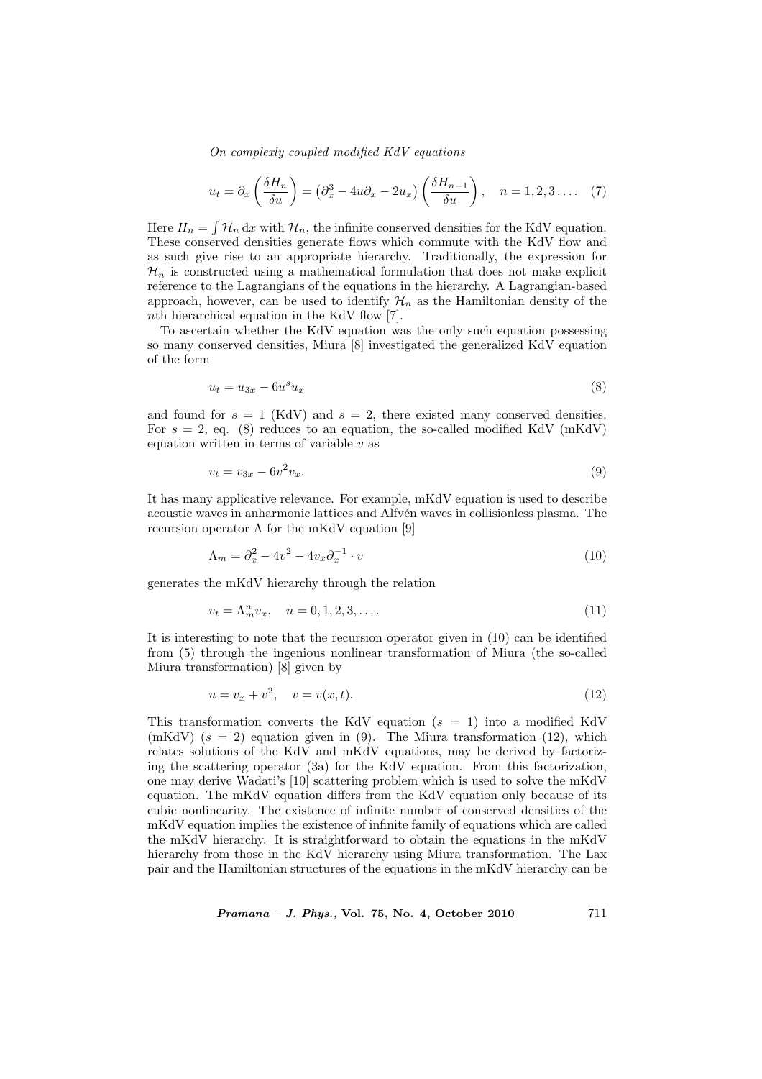$$
u_t = \partial_x \left( \frac{\delta H_n}{\delta u} \right) = \left( \partial_x^3 - 4u \partial_x - 2u_x \right) \left( \frac{\delta H_{n-1}}{\delta u} \right), \quad n = 1, 2, 3 \dots \quad (7)
$$

Here  $H_n =$ R  $\mathcal{H}_n$  dx with  $\mathcal{H}_n$ , the infinite conserved densities for the KdV equation. These conserved densities generate flows which commute with the KdV flow and as such give rise to an appropriate hierarchy. Traditionally, the expression for  $\mathcal{H}_n$  is constructed using a mathematical formulation that does not make explicit reference to the Lagrangians of the equations in the hierarchy. A Lagrangian-based approach, however, can be used to identify  $\mathcal{H}_n$  as the Hamiltonian density of the nth hierarchical equation in the KdV flow [7].

To ascertain whether the KdV equation was the only such equation possessing so many conserved densities, Miura [8] investigated the generalized KdV equation of the form

$$
u_t = u_{3x} - 6u^s u_x \tag{8}
$$

and found for  $s = 1$  (KdV) and  $s = 2$ , there existed many conserved densities. For  $s = 2$ , eq. (8) reduces to an equation, the so-called modified KdV (mKdV) equation written in terms of variable  $v$  as

$$
v_t = v_{3x} - 6v^2 v_x.
$$
\n(9)

It has many applicative relevance. For example, mKdV equation is used to describe acoustic waves in anharmonic lattices and Alfv $\acute{e}$ n waves in collisionless plasma. The recursion operator Λ for the mKdV equation [9]

$$
\Lambda_m = \partial_x^2 - 4v^2 - 4v_x \partial_x^{-1} \cdot v \tag{10}
$$

generates the mKdV hierarchy through the relation

$$
v_t = \Lambda_m^n v_x, \quad n = 0, 1, 2, 3, \dots
$$
\n(11)

It is interesting to note that the recursion operator given in (10) can be identified from (5) through the ingenious nonlinear transformation of Miura (the so-called Miura transformation) [8] given by

$$
u = v_x + v^2, \quad v = v(x, t).
$$
 (12)

This transformation converts the KdV equation ( $s = 1$ ) into a modified KdV (mKdV)  $(s = 2)$  equation given in (9). The Miura transformation (12), which relates solutions of the KdV and mKdV equations, may be derived by factorizing the scattering operator (3a) for the KdV equation. From this factorization, one may derive Wadati's [10] scattering problem which is used to solve the mKdV equation. The mKdV equation differs from the KdV equation only because of its cubic nonlinearity. The existence of infinite number of conserved densities of the mKdV equation implies the existence of infinite family of equations which are called the mKdV hierarchy. It is straightforward to obtain the equations in the mKdV hierarchy from those in the KdV hierarchy using Miura transformation. The Lax pair and the Hamiltonian structures of the equations in the mKdV hierarchy can be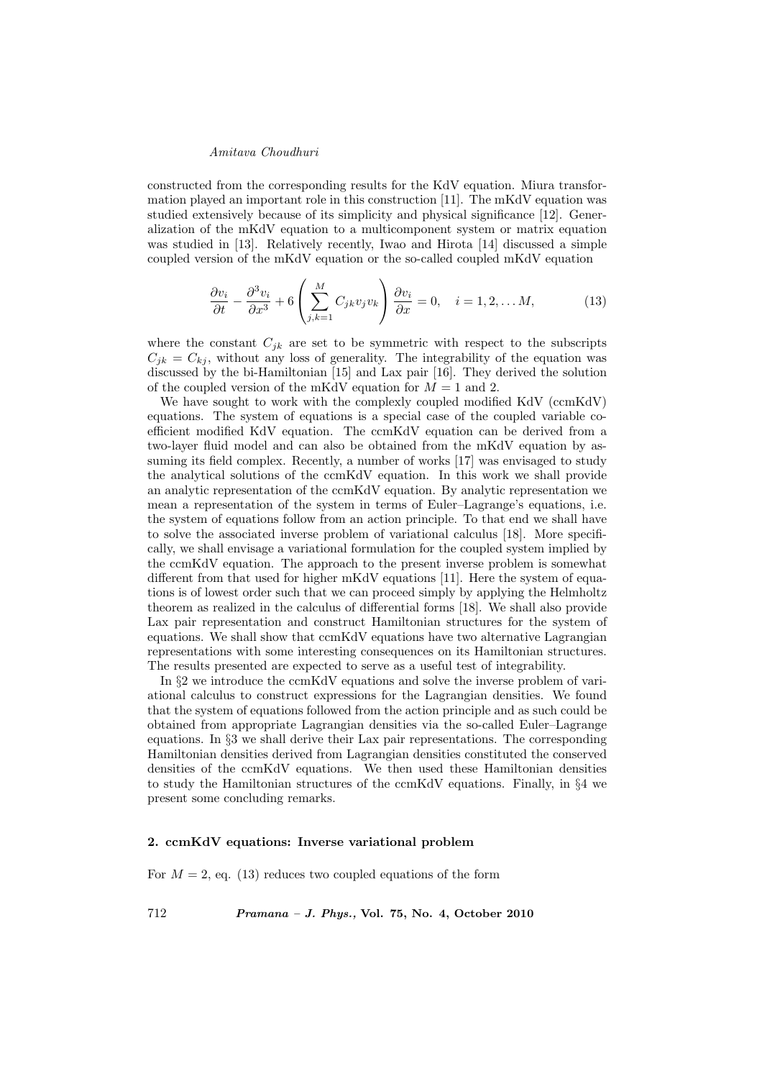constructed from the corresponding results for the KdV equation. Miura transformation played an important role in this construction [11]. The mKdV equation was studied extensively because of its simplicity and physical significance [12]. Generalization of the mKdV equation to a multicomponent system or matrix equation was studied in [13]. Relatively recently, Iwao and Hirota [14] discussed a simple coupled version of the mKdV equation or the so-called coupled mKdV equation

$$
\frac{\partial v_i}{\partial t} - \frac{\partial^3 v_i}{\partial x^3} + 6 \left( \sum_{j,k=1}^M C_{jk} v_j v_k \right) \frac{\partial v_i}{\partial x} = 0, \quad i = 1, 2, \dots M,
$$
 (13)

where the constant  $C_{ik}$  are set to be symmetric with respect to the subscripts  $C_{ik} = C_{ki}$ , without any loss of generality. The integrability of the equation was discussed by the bi-Hamiltonian [15] and Lax pair [16]. They derived the solution of the coupled version of the mKdV equation for  $M = 1$  and 2.

We have sought to work with the complexly coupled modified KdV (ccmKdV) equations. The system of equations is a special case of the coupled variable coefficient modified KdV equation. The ccmKdV equation can be derived from a two-layer fluid model and can also be obtained from the mKdV equation by assuming its field complex. Recently, a number of works [17] was envisaged to study the analytical solutions of the ccmKdV equation. In this work we shall provide an analytic representation of the ccmKdV equation. By analytic representation we mean a representation of the system in terms of Euler–Lagrange's equations, i.e. the system of equations follow from an action principle. To that end we shall have to solve the associated inverse problem of variational calculus [18]. More specifically, we shall envisage a variational formulation for the coupled system implied by the ccmKdV equation. The approach to the present inverse problem is somewhat different from that used for higher mKdV equations [11]. Here the system of equations is of lowest order such that we can proceed simply by applying the Helmholtz theorem as realized in the calculus of differential forms [18]. We shall also provide Lax pair representation and construct Hamiltonian structures for the system of equations. We shall show that ccmKdV equations have two alternative Lagrangian representations with some interesting consequences on its Hamiltonian structures. The results presented are expected to serve as a useful test of integrability.

In §2 we introduce the ccmKdV equations and solve the inverse problem of variational calculus to construct expressions for the Lagrangian densities. We found that the system of equations followed from the action principle and as such could be obtained from appropriate Lagrangian densities via the so-called Euler–Lagrange equations. In §3 we shall derive their Lax pair representations. The corresponding Hamiltonian densities derived from Lagrangian densities constituted the conserved densities of the ccmKdV equations. We then used these Hamiltonian densities to study the Hamiltonian structures of the ccmKdV equations. Finally, in §4 we present some concluding remarks.

#### 2. ccmKdV equations: Inverse variational problem

For  $M = 2$ , eq. (13) reduces two coupled equations of the form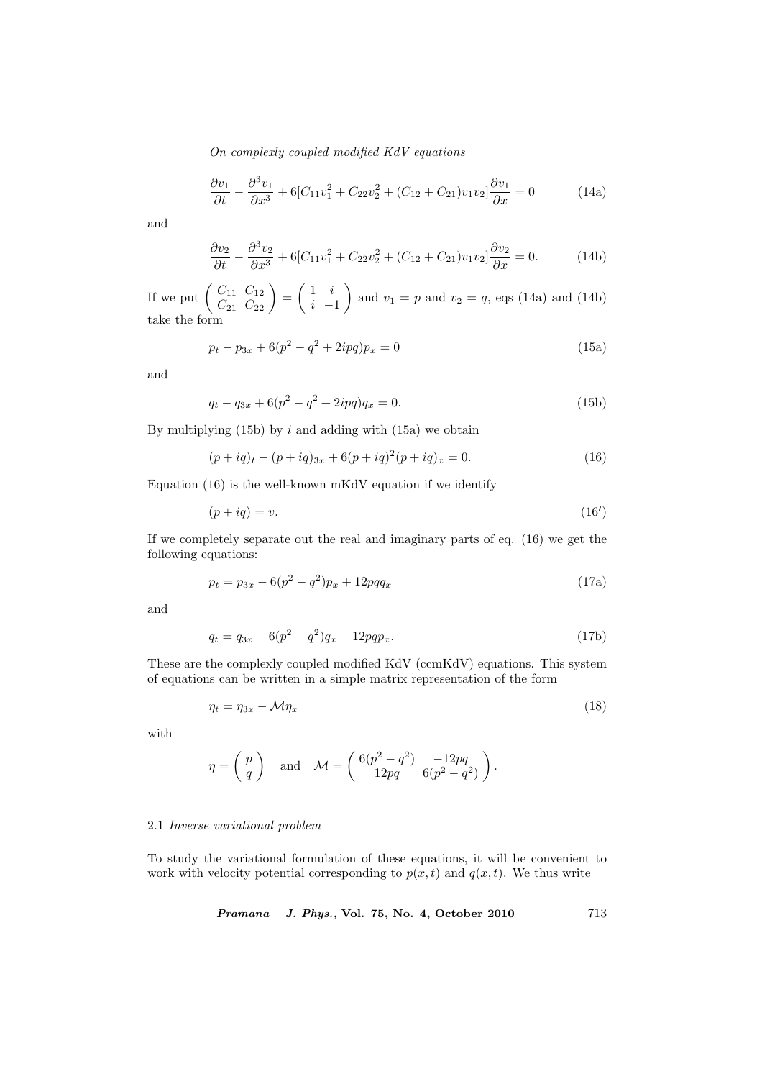$$
\frac{\partial v_1}{\partial t} - \frac{\partial^3 v_1}{\partial x^3} + 6[C_{11}v_1^2 + C_{22}v_2^2 + (C_{12} + C_{21})v_1v_2] \frac{\partial v_1}{\partial x} = 0 \tag{14a}
$$

and

$$
\frac{\partial v_2}{\partial t} - \frac{\partial^3 v_2}{\partial x^3} + 6[C_{11}v_1^2 + C_{22}v_2^2 + (C_{12} + C_{21})v_1v_2] \frac{\partial v_2}{\partial x} = 0.
$$
 (14b)

If we put  $\begin{pmatrix} C_{11} & C_{12} \\ C & C \end{pmatrix}$  $\begin{pmatrix} C_{11} & C_{12} \\ C_{21} & C_{22} \end{pmatrix} =$  $\overline{a}$ 1 i  $i -1$  $\mathbf{r}$ and  $v_1 = p$  and  $v_2 = q$ , eqs (14a) and (14b) take the form

$$
p_t - p_{3x} + 6(p^2 - q^2 + 2ipq)p_x = 0
$$
\n(15a)

and

$$
q_t - q_{3x} + 6(p^2 - q^2 + 2ipq)q_x = 0.
$$
\n(15b)

By multiplying  $(15b)$  by i and adding with  $(15a)$  we obtain

$$
(p + iq)t - (p + iq)3x + 6(p + iq)2(p + iq)x = 0.
$$
\n(16)

Equation (16) is the well-known mKdV equation if we identify

$$
(p + iq) = v.\t(16')
$$

If we completely separate out the real and imaginary parts of eq. (16) we get the following equations:

$$
p_t = p_{3x} - 6(p^2 - q^2)p_x + 12pqq_x \tag{17a}
$$

and

$$
q_t = q_{3x} - 6(p^2 - q^2)q_x - 12pqp_x.
$$
\n(17b)

These are the complexly coupled modified KdV (ccmKdV) equations. This system of equations can be written in a simple matrix representation of the form

$$
\eta_t = \eta_{3x} - \mathcal{M}\eta_x \tag{18}
$$

with

$$
\eta = \left( \! \begin{array}{c} p \\ q \end{array} \! \right) \quad \text{and} \quad \mathcal{M} = \left( \! \begin{array}{cc} 6(p^2-q^2) & -12pq \\ 12pq & 6(p^2-q^2) \end{array} \! \right).
$$

#### 2.1 Inverse variational problem

To study the variational formulation of these equations, it will be convenient to work with velocity potential corresponding to  $p(x, t)$  and  $q(x, t)$ . We thus write

Pramana – J. Phys., Vol. 75, No. 4, October 2010 713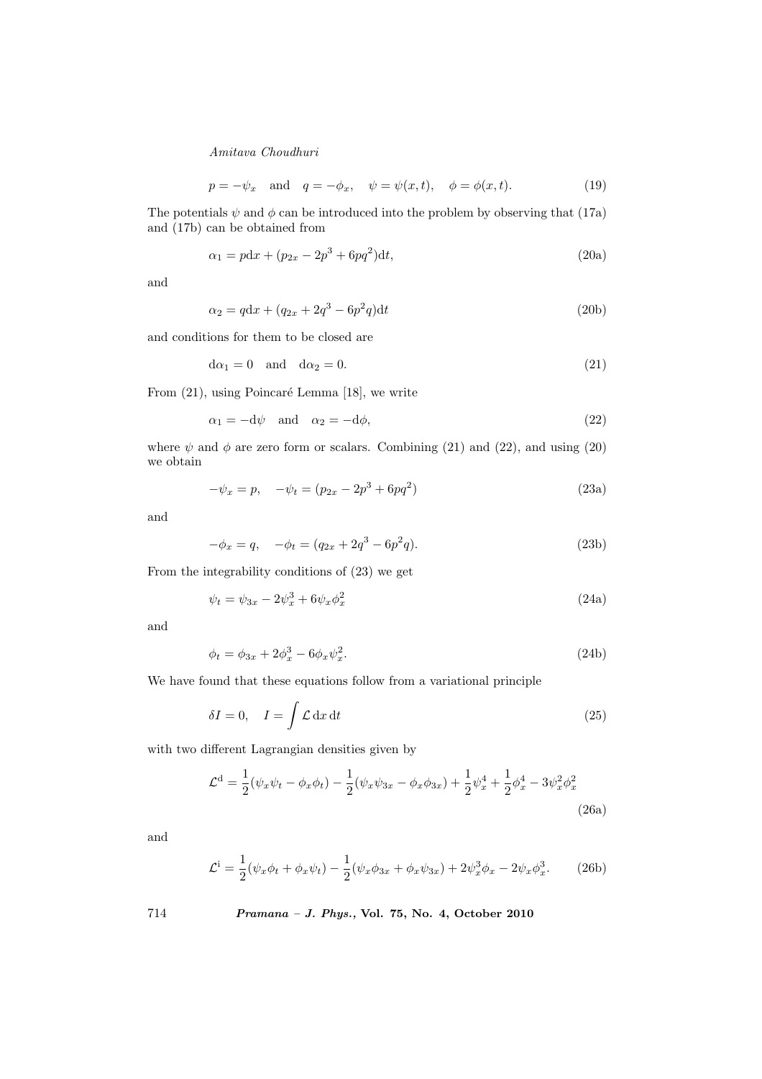$$
p = -\psi_x \quad \text{and} \quad q = -\phi_x, \quad \psi = \psi(x, t), \quad \phi = \phi(x, t). \tag{19}
$$

The potentials  $\psi$  and  $\phi$  can be introduced into the problem by observing that (17a) and (17b) can be obtained from

$$
\alpha_1 = pdx + (p_{2x} - 2p^3 + 6pq^2)dt,
$$
\n(20a)

and

$$
\alpha_2 = qdx + (q_{2x} + 2q^3 - 6p^2q)dt
$$
\n(20b)

and conditions for them to be closed are

$$
d\alpha_1 = 0 \quad \text{and} \quad d\alpha_2 = 0. \tag{21}
$$

From (21), using Poincaré Lemma [18], we write

$$
\alpha_1 = -d\psi \quad \text{and} \quad \alpha_2 = -d\phi,\tag{22}
$$

where  $\psi$  and  $\phi$  are zero form or scalars. Combining (21) and (22), and using (20) we obtain

$$
-\psi_x = p, \quad -\psi_t = (p_{2x} - 2p^3 + 6pq^2)
$$
\n(23a)

and

$$
-\phi_x = q, \quad -\phi_t = (q_{2x} + 2q^3 - 6p^2q). \tag{23b}
$$

From the integrability conditions of (23) we get

$$
\psi_t = \psi_{3x} - 2\psi_x^3 + 6\psi_x\phi_x^2 \tag{24a}
$$

and

$$
\phi_t = \phi_{3x} + 2\phi_x^3 - 6\phi_x \psi_x^2.
$$
\n(24b)

We have found that these equations follow from a variational principle

$$
\delta I = 0, \quad I = \int \mathcal{L} \, \mathrm{d}x \, \mathrm{d}t \tag{25}
$$

with two different Lagrangian densities given by

$$
\mathcal{L}^{\mathbf{d}} = \frac{1}{2}(\psi_x \psi_t - \phi_x \phi_t) - \frac{1}{2}(\psi_x \psi_{3x} - \phi_x \phi_{3x}) + \frac{1}{2}\psi_x^4 + \frac{1}{2}\phi_x^4 - 3\psi_x^2 \phi_x^2
$$
\n(26a)

and

$$
\mathcal{L}^i = \frac{1}{2}(\psi_x \phi_t + \phi_x \psi_t) - \frac{1}{2}(\psi_x \phi_{3x} + \phi_x \psi_{3x}) + 2\psi_x^3 \phi_x - 2\psi_x \phi_x^3. \tag{26b}
$$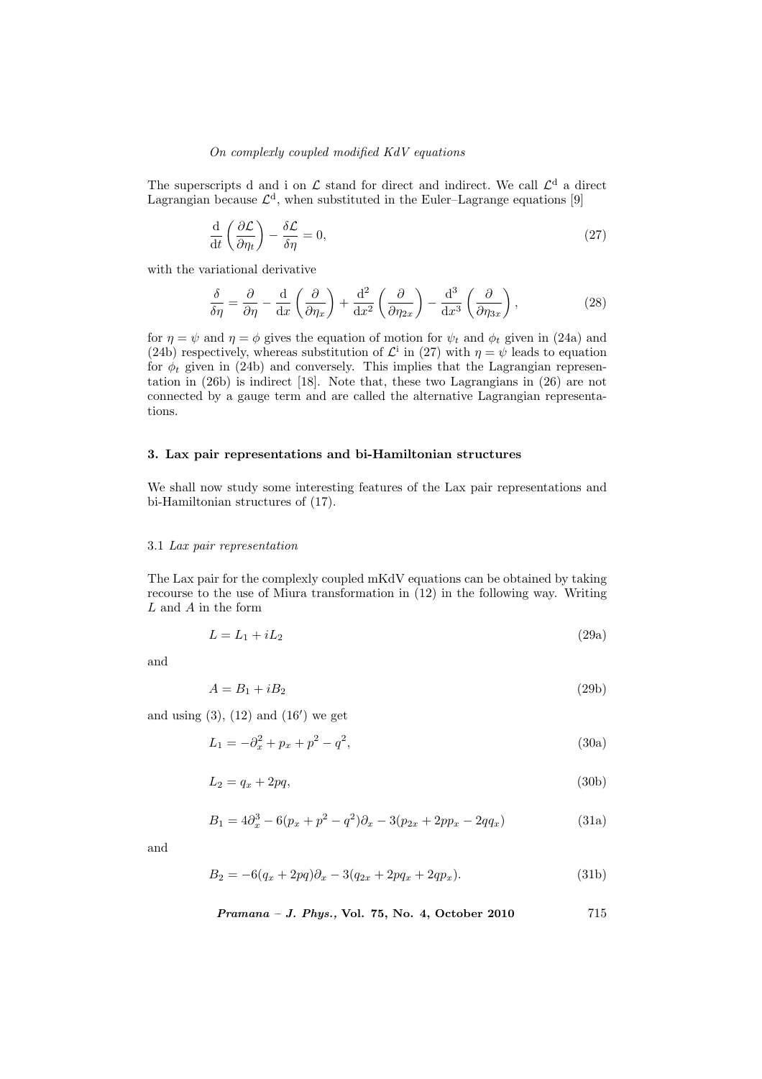The superscripts d and i on  $\mathcal L$  stand for direct and indirect. We call  $\mathcal L<sup>d</sup>$  a direct Lagrangian because  $\mathcal{L}^d$ , when substituted in the Euler–Lagrange equations [9]

$$
\frac{\mathrm{d}}{\mathrm{d}t} \left( \frac{\partial \mathcal{L}}{\partial \eta_t} \right) - \frac{\delta \mathcal{L}}{\delta \eta} = 0, \tag{27}
$$

with the variational derivative

$$
\frac{\delta}{\delta \eta} = \frac{\partial}{\partial \eta} - \frac{\mathrm{d}}{\mathrm{d}x} \left( \frac{\partial}{\partial \eta_x} \right) + \frac{\mathrm{d}^2}{\mathrm{d}x^2} \left( \frac{\partial}{\partial \eta_{2x}} \right) - \frac{\mathrm{d}^3}{\mathrm{d}x^3} \left( \frac{\partial}{\partial \eta_{3x}} \right),\tag{28}
$$

for  $\eta = \psi$  and  $\eta = \phi$  gives the equation of motion for  $\psi_t$  and  $\phi_t$  given in (24a) and (24b) respectively, whereas substitution of  $\mathcal{L}^{\text{i}}$  in (27) with  $\eta = \psi$  leads to equation for  $\phi_t$  given in (24b) and conversely. This implies that the Lagrangian representation in (26b) is indirect [18]. Note that, these two Lagrangians in (26) are not connected by a gauge term and are called the alternative Lagrangian representations.

# 3. Lax pair representations and bi-Hamiltonian structures

We shall now study some interesting features of the Lax pair representations and bi-Hamiltonian structures of (17).

#### 3.1 Lax pair representation

The Lax pair for the complexly coupled mKdV equations can be obtained by taking recourse to the use of Miura transformation in (12) in the following way. Writing L and A in the form

$$
L = L_1 + iL_2 \tag{29a}
$$

and

$$
A = B_1 + iB_2 \tag{29b}
$$

and using  $(3)$ ,  $(12)$  and  $(16')$  we get

$$
L_1 = -\partial_x^2 + p_x + p^2 - q^2,\tag{30a}
$$

$$
L_2 = q_x + 2pq,\tag{30b}
$$

$$
B_1 = 4\partial_x^3 - 6(p_x + p^2 - q^2)\partial_x - 3(p_{2x} + 2pp_x - 2qq_x)
$$
 (31a)

and

$$
B_2 = -6(q_x + 2pq)\partial_x - 3(q_{2x} + 2pq_x + 2qp_x). \tag{31b}
$$

Pramana – J. Phys., Vol. 75, No. 4, October 2010 715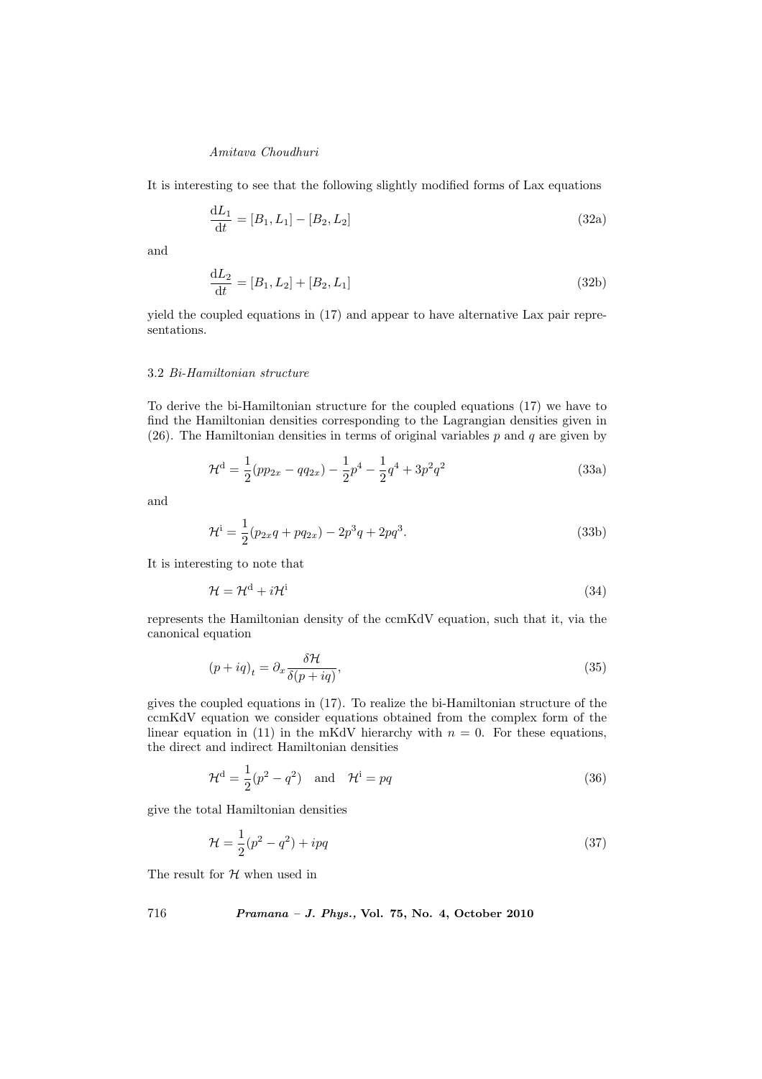It is interesting to see that the following slightly modified forms of Lax equations

$$
\frac{dL_1}{dt} = [B_1, L_1] - [B_2, L_2] \tag{32a}
$$

and

$$
\frac{dL_2}{dt} = [B_1, L_2] + [B_2, L_1]
$$
\n(32b)

yield the coupled equations in (17) and appear to have alternative Lax pair representations.

### 3.2 Bi-Hamiltonian structure

To derive the bi-Hamiltonian structure for the coupled equations (17) we have to find the Hamiltonian densities corresponding to the Lagrangian densities given in (26). The Hamiltonian densities in terms of original variables  $p$  and  $q$  are given by

$$
\mathcal{H}^{\mathbf{d}} = \frac{1}{2}(pp_{2x} - qq_{2x}) - \frac{1}{2}p^4 - \frac{1}{2}q^4 + 3p^2q^2 \tag{33a}
$$

and

$$
\mathcal{H}^i = \frac{1}{2}(p_{2x}q + pq_{2x}) - 2p^3q + 2pq^3.
$$
 (33b)

It is interesting to note that

$$
\mathcal{H} = \mathcal{H}^{\rm d} + i\mathcal{H}^{\rm i} \tag{34}
$$

represents the Hamiltonian density of the ccmKdV equation, such that it, via the canonical equation

$$
(p + iq)_t = \partial_x \frac{\delta \mathcal{H}}{\delta(p + iq)},\tag{35}
$$

gives the coupled equations in (17). To realize the bi-Hamiltonian structure of the ccmKdV equation we consider equations obtained from the complex form of the linear equation in (11) in the mKdV hierarchy with  $n = 0$ . For these equations, the direct and indirect Hamiltonian densities

$$
\mathcal{H}^{\mathbf{d}} = \frac{1}{2}(p^2 - q^2) \quad \text{and} \quad \mathcal{H}^{\mathbf{i}} = pq \tag{36}
$$

give the total Hamiltonian densities

$$
\mathcal{H} = \frac{1}{2}(p^2 - q^2) + ipq \tag{37}
$$

The result for  $\mathcal H$  when used in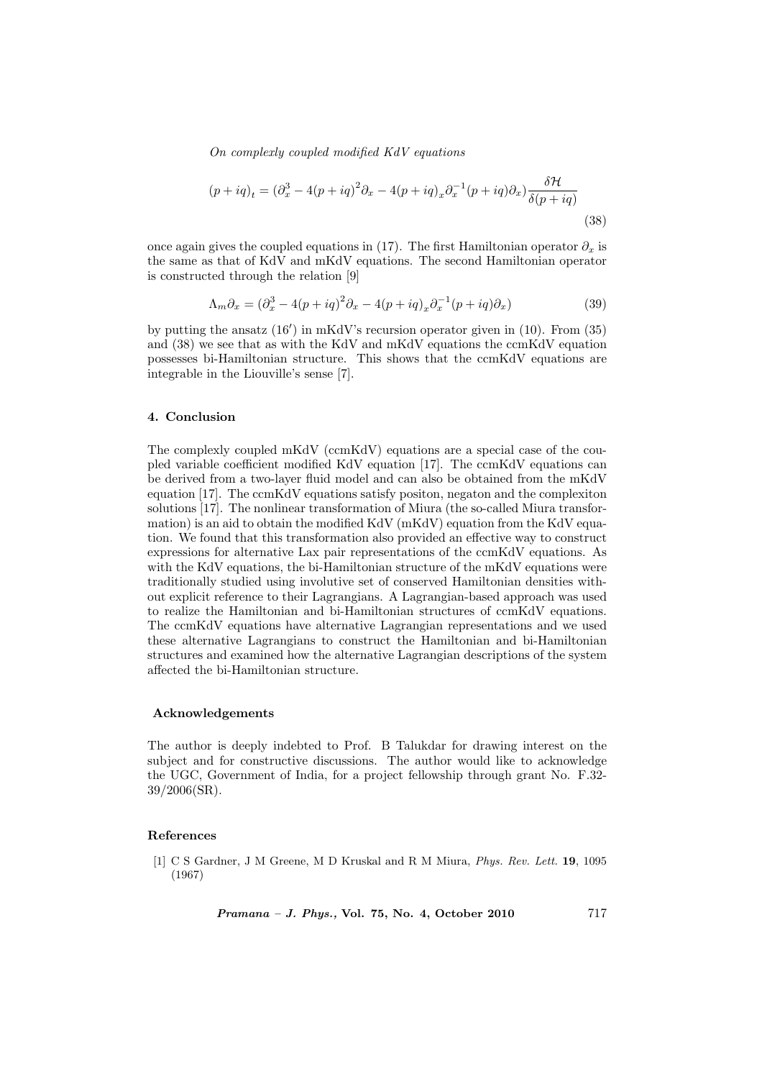$$
(p+iq)_t = (\partial_x^3 - 4(p+iq)^2 \partial_x - 4(p+iq)_x \partial_x^{-1} (p+iq) \partial_x) \frac{\delta \mathcal{H}}{\delta(p+iq)}
$$
\n(38)

once again gives the coupled equations in (17). The first Hamiltonian operator  $\partial_x$  is the same as that of KdV and mKdV equations. The second Hamiltonian operator is constructed through the relation [9]

$$
\Lambda_m \partial_x = (\partial_x^3 - 4(p + iq)^2 \partial_x - 4(p + iq)_x \partial_x^{-1}(p + iq) \partial_x)
$$
\n(39)

by putting the ansatz  $(16')$  in mKdV's recursion operator given in  $(10)$ . From  $(35)$ and (38) we see that as with the KdV and mKdV equations the ccmKdV equation possesses bi-Hamiltonian structure. This shows that the ccmKdV equations are integrable in the Liouville's sense [7].

### 4. Conclusion

The complexly coupled mKdV (ccmKdV) equations are a special case of the coupled variable coefficient modified KdV equation [17]. The ccmKdV equations can be derived from a two-layer fluid model and can also be obtained from the mKdV equation [17]. The ccmKdV equations satisfy positon, negaton and the complexiton solutions [17]. The nonlinear transformation of Miura (the so-called Miura transformation) is an aid to obtain the modified KdV (mKdV) equation from the KdV equation. We found that this transformation also provided an effective way to construct expressions for alternative Lax pair representations of the ccmKdV equations. As with the KdV equations, the bi-Hamiltonian structure of the mKdV equations were traditionally studied using involutive set of conserved Hamiltonian densities without explicit reference to their Lagrangians. A Lagrangian-based approach was used to realize the Hamiltonian and bi-Hamiltonian structures of ccmKdV equations. The ccmKdV equations have alternative Lagrangian representations and we used these alternative Lagrangians to construct the Hamiltonian and bi-Hamiltonian structures and examined how the alternative Lagrangian descriptions of the system affected the bi-Hamiltonian structure.

### Acknowledgements

The author is deeply indebted to Prof. B Talukdar for drawing interest on the subject and for constructive discussions. The author would like to acknowledge the UGC, Government of India, for a project fellowship through grant No. F.32- 39/2006(SR).

### References

[1] C S Gardner, J M Greene, M D Kruskal and R M Miura, Phys. Rev. Lett. 19, 1095 (1967)